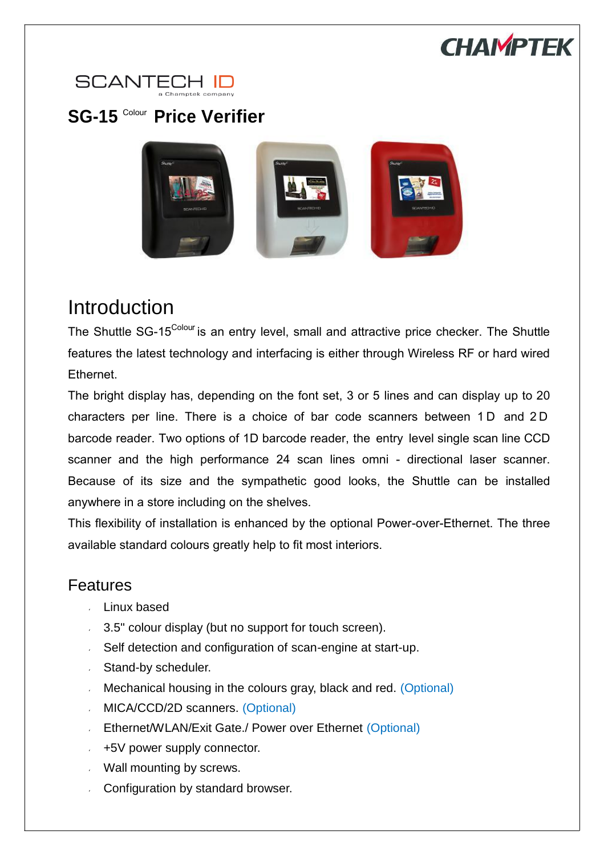



## **SG-15** Colour **Price Verifier**



## Introduction

The Shuttle SG-15<sup>Colour</sup> is an entry level, small and attractive price checker. The Shuttle features the latest technology and interfacing is either through Wireless RF or hard wired Ethernet.

The bright display has, depending on the font set, 3 or 5 lines and can display up to 20 characters per line. There is a choice of bar code scanners between 1 D and 2 D barcode reader. Two options of 1D barcode reader, the entry level single scan line CCD scanner and the high performance 24 scan lines omni - directional laser scanner. Because of its size and the sympathetic good looks, the Shuttle can be installed anywhere in a store including on the shelves.

This flexibility of installation is enhanced by the optional Power-over-Ethernet. The three available standard colours greatly help to fit most interiors.

## Features

- Linux based
- 3.5" colour display (but no support for touch screen).
- Self detection and configuration of scan-engine at start-up.
- **Stand-by scheduler.**
- Mechanical housing in the colours gray, black and red. (Optional)  $\mathbf{z}^{(i)}$
- **MICA/CCD/2D scanners. (Optional)**
- Ethernet/WLAN/Exit Gate./ Power over Ethernet (Optional)
- $+5V$  power supply connector.
- Wall mounting by screws.
- Configuration by standard browser.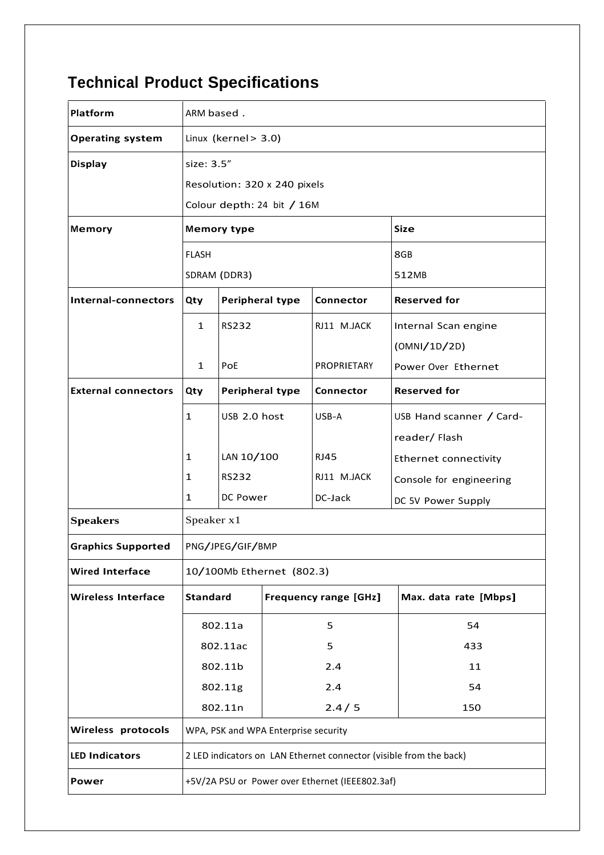## **Technical Product Specifications**

| Platform                   | ARM based.                                                         |                 |                              |                    |                              |  |
|----------------------------|--------------------------------------------------------------------|-----------------|------------------------------|--------------------|------------------------------|--|
| <b>Operating system</b>    | Linux (kernel > 3.0)                                               |                 |                              |                    |                              |  |
| <b>Display</b>             | size: 3.5"                                                         |                 |                              |                    |                              |  |
|                            | Resolution: 320 x 240 pixels                                       |                 |                              |                    |                              |  |
|                            | Colour depth: 24 bit / 16M                                         |                 |                              |                    |                              |  |
| Memory                     | <b>Memory type</b><br><b>Size</b>                                  |                 |                              |                    |                              |  |
|                            | <b>FLASH</b>                                                       |                 |                              |                    | 8GB                          |  |
|                            | SDRAM (DDR3)                                                       |                 |                              |                    | 512MB                        |  |
| Internal-connectors        | Qty                                                                | Peripheral type |                              | Connector          | <b>Reserved for</b>          |  |
|                            | $\mathbf{1}$                                                       | <b>RS232</b>    |                              | RJ11 M.JACK        | Internal Scan engine         |  |
|                            |                                                                    |                 |                              |                    | (OMNI/1D/2D)                 |  |
|                            | 1                                                                  | PoE             |                              | <b>PROPRIETARY</b> | Power Over Ethernet          |  |
| <b>External connectors</b> | Qty                                                                | Peripheral type |                              | <b>Connector</b>   | <b>Reserved for</b>          |  |
|                            | $\mathbf{1}$                                                       | USB 2.0 host    |                              | USB-A              | USB Hand scanner / Card-     |  |
|                            |                                                                    |                 |                              |                    | reader/ Flash                |  |
|                            | 1                                                                  | LAN 10/100      |                              | RJ45               | <b>Ethernet connectivity</b> |  |
|                            | 1                                                                  | <b>RS232</b>    |                              | RJ11 M.JACK        | Console for engineering      |  |
|                            | 1                                                                  | DC Power        |                              | DC-Jack            | DC 5V Power Supply           |  |
| <b>Speakers</b>            | Speaker x1                                                         |                 |                              |                    |                              |  |
| <b>Graphics Supported</b>  | PNG/JPEG/GIF/BMP                                                   |                 |                              |                    |                              |  |
| <b>Wired Interface</b>     | 10/100Mb Ethernet (802.3)                                          |                 |                              |                    |                              |  |
| <b>Wireless Interface</b>  | <b>Standard</b>                                                    |                 | <b>Frequency range [GHz]</b> |                    | Max. data rate [Mbps]        |  |
|                            | 802.11a                                                            |                 | 5                            |                    | 54                           |  |
|                            | 802.11ac                                                           |                 | 5                            |                    | 433                          |  |
|                            | 802.11b                                                            |                 | 2.4                          |                    | 11                           |  |
|                            | 802.11g                                                            |                 | 2.4                          |                    | 54                           |  |
|                            | 802.11n                                                            |                 | 2.4/5                        |                    | 150                          |  |
| Wireless protocols         | WPA, PSK and WPA Enterprise security                               |                 |                              |                    |                              |  |
| <b>LED Indicators</b>      | 2 LED indicators on LAN Ethernet connector (visible from the back) |                 |                              |                    |                              |  |
| Power                      | +5V/2A PSU or Power over Ethernet (IEEE802.3af)                    |                 |                              |                    |                              |  |